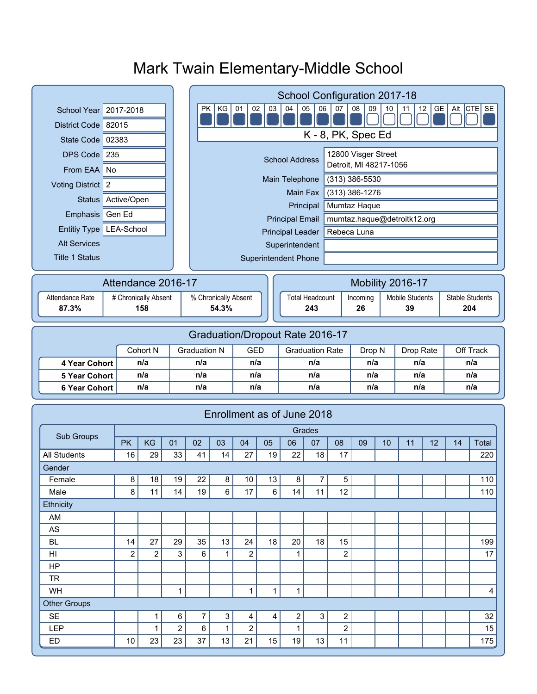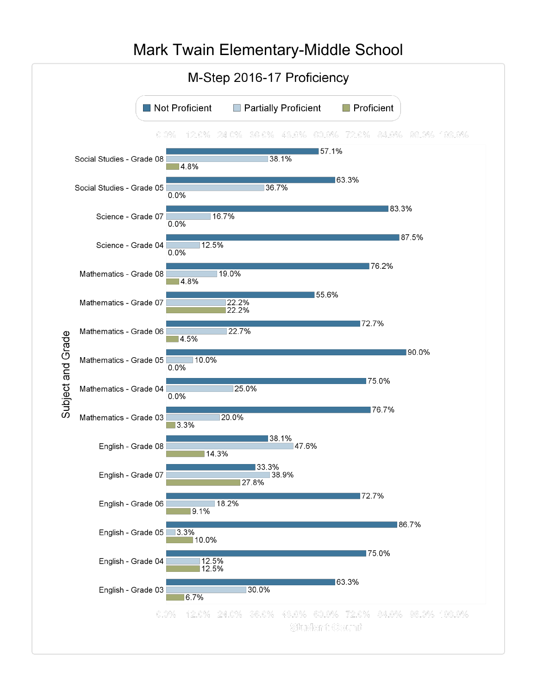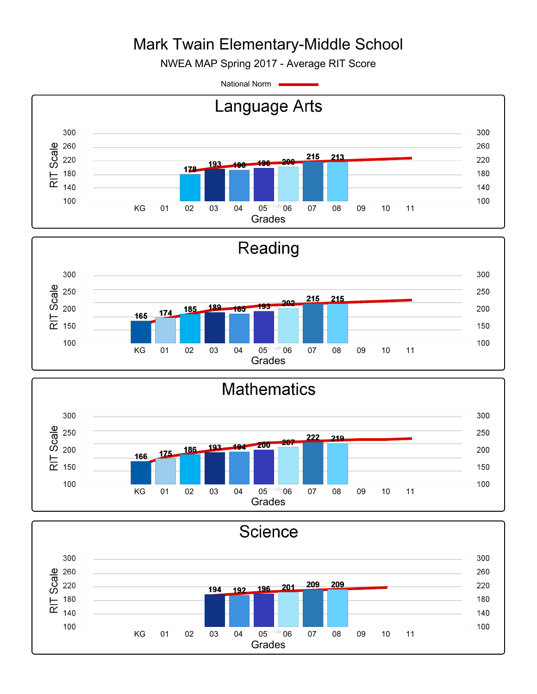NWEA MAP Spring 2017 - Average RIT Score

National Norm